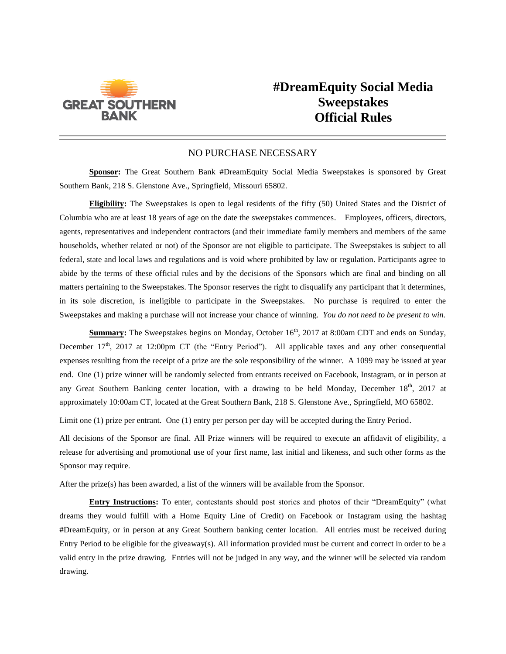

## **#DreamEquity Social Media Sweepstakes Official Rules**

## NO PURCHASE NECESSARY

**Sponsor:** The Great Southern Bank #DreamEquity Social Media Sweepstakes is sponsored by Great Southern Bank, 218 S. Glenstone Ave., Springfield, Missouri 65802.

**Eligibility:** The Sweepstakes is open to legal residents of the fifty (50) United States and the District of Columbia who are at least 18 years of age on the date the sweepstakes commences. Employees, officers, directors, agents, representatives and independent contractors (and their immediate family members and members of the same households, whether related or not) of the Sponsor are not eligible to participate. The Sweepstakes is subject to all federal, state and local laws and regulations and is void where prohibited by law or regulation. Participants agree to abide by the terms of these official rules and by the decisions of the Sponsors which are final and binding on all matters pertaining to the Sweepstakes. The Sponsor reserves the right to disqualify any participant that it determines, in its sole discretion, is ineligible to participate in the Sweepstakes. No purchase is required to enter the Sweepstakes and making a purchase will not increase your chance of winning. *You do not need to be present to win.*

**Summary:** The Sweepstakes begins on Monday, October 16<sup>th</sup>, 2017 at 8:00am CDT and ends on Sunday, December  $17<sup>th</sup>$ , 2017 at 12:00pm CT (the "Entry Period"). All applicable taxes and any other consequential expenses resulting from the receipt of a prize are the sole responsibility of the winner. A 1099 may be issued at year end. One (1) prize winner will be randomly selected from entrants received on Facebook, Instagram, or in person at any Great Southern Banking center location, with a drawing to be held Monday, December 18<sup>th</sup>, 2017 at approximately 10:00am CT, located at the Great Southern Bank, 218 S. Glenstone Ave., Springfield, MO 65802.

Limit one (1) prize per entrant. One (1) entry per person per day will be accepted during the Entry Period.

All decisions of the Sponsor are final. All Prize winners will be required to execute an affidavit of eligibility, a release for advertising and promotional use of your first name, last initial and likeness, and such other forms as the Sponsor may require.

After the prize(s) has been awarded, a list of the winners will be available from the Sponsor.

**Entry Instructions:** To enter, contestants should post stories and photos of their "DreamEquity" (what dreams they would fulfill with a Home Equity Line of Credit) on Facebook or Instagram using the hashtag #DreamEquity, or in person at any Great Southern banking center location. All entries must be received during Entry Period to be eligible for the giveaway(s). All information provided must be current and correct in order to be a valid entry in the prize drawing. Entries will not be judged in any way, and the winner will be selected via random drawing.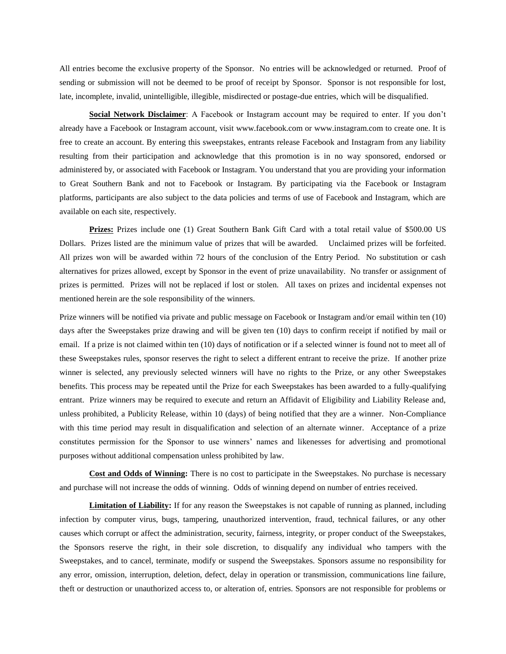All entries become the exclusive property of the Sponsor. No entries will be acknowledged or returned. Proof of sending or submission will not be deemed to be proof of receipt by Sponsor. Sponsor is not responsible for lost, late, incomplete, invalid, unintelligible, illegible, misdirected or postage-due entries, which will be disqualified.

**Social Network Disclaimer**: A Facebook or Instagram account may be required to enter. If you don't already have a Facebook or Instagram account, visit www.facebook.com or www.instagram.com to create one. It is free to create an account. By entering this sweepstakes, entrants release Facebook and Instagram from any liability resulting from their participation and acknowledge that this promotion is in no way sponsored, endorsed or administered by, or associated with Facebook or Instagram. You understand that you are providing your information to Great Southern Bank and not to Facebook or Instagram. By participating via the Facebook or Instagram platforms, participants are also subject to the data policies and terms of use of Facebook and Instagram, which are available on each site, respectively.

**Prizes:** Prizes include one (1) Great Southern Bank Gift Card with a total retail value of \$500.00 US Dollars. Prizes listed are the minimum value of prizes that will be awarded. Unclaimed prizes will be forfeited. All prizes won will be awarded within 72 hours of the conclusion of the Entry Period. No substitution or cash alternatives for prizes allowed, except by Sponsor in the event of prize unavailability. No transfer or assignment of prizes is permitted. Prizes will not be replaced if lost or stolen. All taxes on prizes and incidental expenses not mentioned herein are the sole responsibility of the winners.

Prize winners will be notified via private and public message on Facebook or Instagram and/or email within ten (10) days after the Sweepstakes prize drawing and will be given ten (10) days to confirm receipt if notified by mail or email. If a prize is not claimed within ten (10) days of notification or if a selected winner is found not to meet all of these Sweepstakes rules, sponsor reserves the right to select a different entrant to receive the prize. If another prize winner is selected, any previously selected winners will have no rights to the Prize, or any other Sweepstakes benefits. This process may be repeated until the Prize for each Sweepstakes has been awarded to a fully-qualifying entrant. Prize winners may be required to execute and return an Affidavit of Eligibility and Liability Release and, unless prohibited, a Publicity Release, within 10 (days) of being notified that they are a winner. Non-Compliance with this time period may result in disqualification and selection of an alternate winner. Acceptance of a prize constitutes permission for the Sponsor to use winners' names and likenesses for advertising and promotional purposes without additional compensation unless prohibited by law.

**Cost and Odds of Winning:** There is no cost to participate in the Sweepstakes. No purchase is necessary and purchase will not increase the odds of winning. Odds of winning depend on number of entries received.

**Limitation of Liability:** If for any reason the Sweepstakes is not capable of running as planned, including infection by computer virus, bugs, tampering, unauthorized intervention, fraud, technical failures, or any other causes which corrupt or affect the administration, security, fairness, integrity, or proper conduct of the Sweepstakes, the Sponsors reserve the right, in their sole discretion, to disqualify any individual who tampers with the Sweepstakes, and to cancel, terminate, modify or suspend the Sweepstakes. Sponsors assume no responsibility for any error, omission, interruption, deletion, defect, delay in operation or transmission, communications line failure, theft or destruction or unauthorized access to, or alteration of, entries. Sponsors are not responsible for problems or